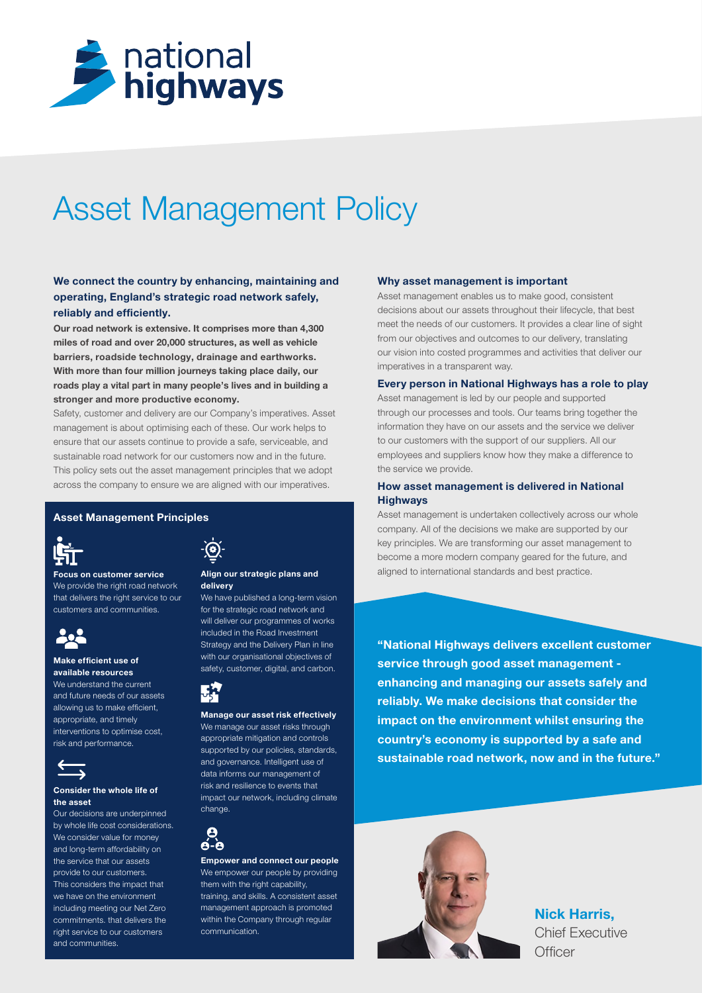

# Asset Management Policy

# We connect the country by enhancing, maintaining and operating, England's strategic road network safely, reliably and efficiently.

Our road network is extensive. It comprises more than 4,300 miles of road and over 20,000 structures, as well as vehicle barriers, roadside technology, drainage and earthworks. With more than four million journeys taking place daily, our roads play a vital part in many people's lives and in building a stronger and more productive economy.

Safety, customer and delivery are our Company's imperatives. Asset management is about optimising each of these. Our work helps to ensure that our assets continue to provide a safe, serviceable, and sustainable road network for our customers now and in the future. This policy sets out the asset management principles that we adopt across the company to ensure we are aligned with our imperatives.

#### Asset Management Principles



Focus on customer service We provide the right road network that delivers the right service to our customers and communities.



#### Make efficient use of available resources

We understand the current and future needs of our assets allowing us to make efficient, appropriate, and timely interventions to optimise cost, risk and performance.



#### Consider the whole life of the asset

Our decisions are underpinned by whole life cost considerations. We consider value for money and long-term affordability on the service that our assets provide to our customers. This considers the impact that we have on the environment including meeting our Net Zero commitments. that delivers the right service to our customers and communities.

#### Align our strategic plans and delivery

We have published a long-term vision for the strategic road network and will deliver our programmes of works included in the Road Investment Strategy and the Delivery Plan in line with our organisational objectives of safety, customer, digital, and carbon.



Manage our asset risk effectively We manage our asset risks through appropriate mitigation and controls supported by our policies, standards, and governance. Intelligent use of data informs our management of risk and resilience to events that impact our network, including climate change.

# e  $\mathbf{A}$  -  $\mathbf{B}$

Empower and connect our people We empower our people by providing them with the right capability, training, and skills. A consistent asset management approach is promoted within the Company through regular communication.

## Why asset management is important

Asset management enables us to make good, consistent decisions about our assets throughout their lifecycle, that best meet the needs of our customers. It provides a clear line of sight from our objectives and outcomes to our delivery, translating our vision into costed programmes and activities that deliver our imperatives in a transparent way.

## Every person in National Highways has a role to play

Asset management is led by our people and supported through our processes and tools. Our teams bring together the information they have on our assets and the service we deliver to our customers with the support of our suppliers. All our employees and suppliers know how they make a difference to the service we provide.

# How asset management is delivered in National **Highways**

Asset management is undertaken collectively across our whole company. All of the decisions we make are supported by our key principles. We are transforming our asset management to become a more modern company geared for the future, and aligned to international standards and best practice.

"National Highways delivers excellent customer service through good asset management enhancing and managing our assets safely and reliably. We make decisions that consider the impact on the environment whilst ensuring the country's economy is supported by a safe and sustainable road network, now and in the future."



Nick Harris, Chief Executive **Officer**